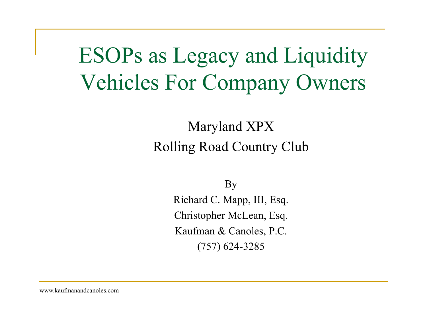## ESOPs as Legacy and Liquidity Vehicles For Company Owners

### Maryland XPX Rolling Road Country Club

By

Richard C. Mapp, III, Esq. Christopher McLean, Esq. Kaufman & Canoles, P.C. (757) 624-3285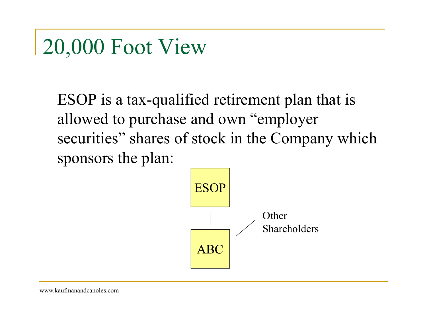### 20,000 Foot View

ESOP is a tax-qualified retirement plan that is allowed to purchase and own "employer securities" shares of stock in the Company which sponsors the plan:

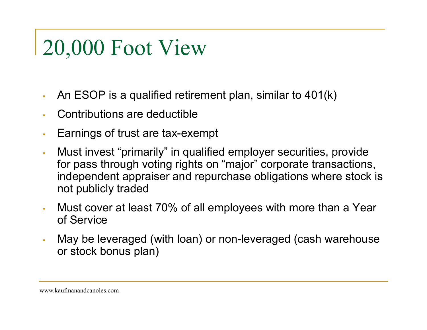# 20,000 Foot View

- •An ESOP is a qualified retirement plan, similar to 401(k)
- •Contributions are deductible
- •Earnings of trust are tax-exempt
- • Must invest "primarily" in qualified employer securities, provide for pass through voting rights on "major" corporate transactions, independent appraiser and repurchase obligations where stock is not publicly traded
- • Must cover at least 70% of all employees with more than a Year of Service
- • May be leveraged (with loan) or non-leveraged (cash warehouse or stock bonus plan)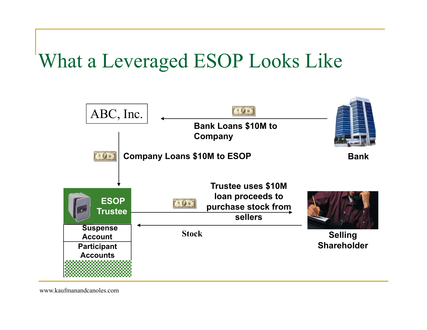### What a Leveraged ESOP Looks Like

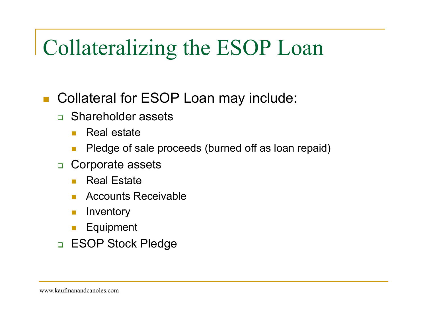# Collateralizing the ESOP Loan

- Г Collateral for ESOP Loan may include:
	- Shareholder assets
		- **College** Real estate
		- $\mathcal{C}^{\mathcal{A}}$ Pledge of sale proceeds (burned off as loan repaid)
	- □ Corporate assets
		- **The State** Real Estate
		- **Tale** Accounts Receivable
		- $\mathbb{R}^n$ Inventory
		- T. Equipment
	- □ ESOP Stock Pledge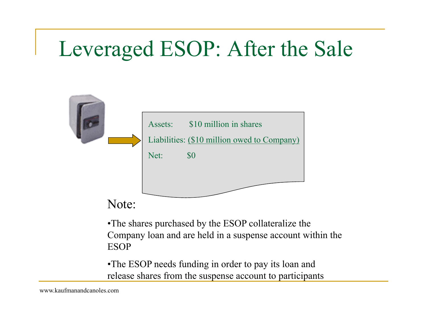## Leveraged ESOP: After the Sale



•The shares purchased by the ESOP collateralize the Company loan and are held in a suspense account within the ESOP

•The ESOP needs funding in order to pay its loan and release shares from the suspense account to participants.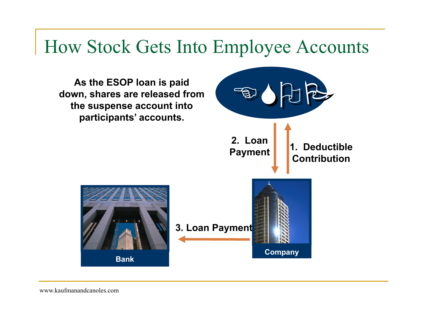### How Stock Gets Into Employee Accounts

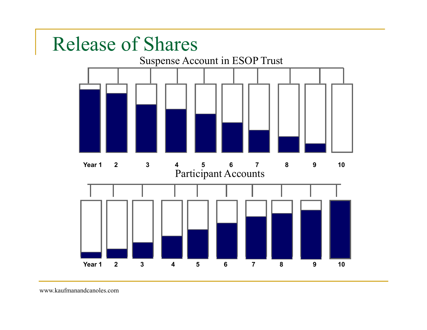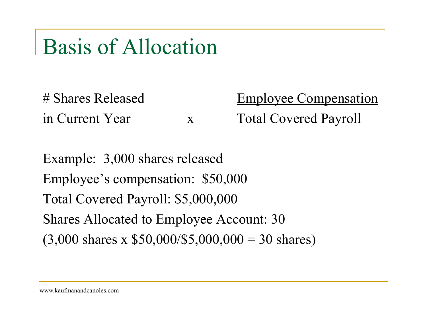### Basis of Allocation

# Shares Released Employee Compensation in Current Year x Total Covered Payroll

Example: 3,000 shares released Employee's compensation: \$50,000 Total Covered Payroll: \$5,000,000 Shares Allocated to Employee Account: 30  $(3,000 \text{ shares x } $50,000/$5,000,000 = 30 \text{ shares})$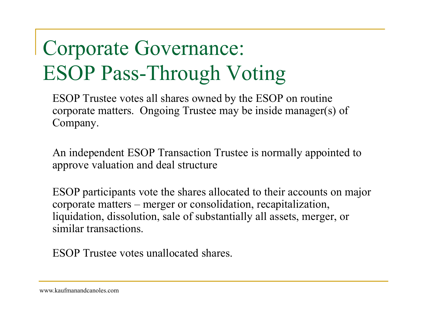# Corporate Governance: ESOP Pass-Through Voting

ESOP Trustee votes all shares owned by the ESOP on routine corporate matters. Ongoing Trustee may be inside manager(s) of Company.

An independent ESOP Transaction Trustee is normally appointed to approve valuation and deal structure

ESOP participants vote the shares allocated to their accounts on major corporate matters – merger or consolidation, recapitalization, liquidation, dissolution, sale of substantially all assets, merger, or similar transactions.

ESOP Trustee votes unallocated shares.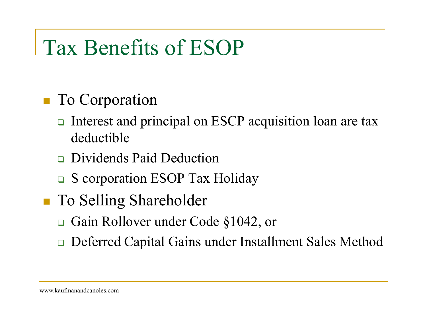# Tax Benefits of ESOP

#### To Corporation

- Interest and principal on ESCP acquisition loan are tax deductible
- **Dividends Paid Deduction**
- □ S corporation ESOP Tax Holiday
- To Selling Shareholder
	- **□** Gain Rollover under Code §1042, or
	- $\Box$ Deferred Capital Gains under Installment Sales Method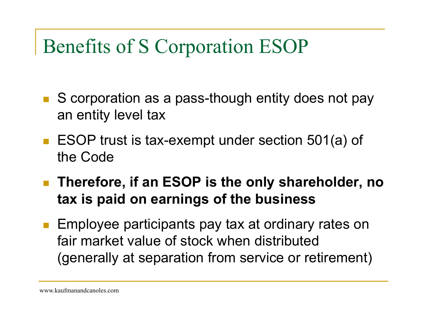### Benefits of S Corporation ESOP

- S corporation as a pass-though entity does not pay an entity level tax
- ESOP trust is tax-exempt under section 501(a) of the Code
- Therefore, if an ESOP is the only shareholder, no **tax is paid on earnings of the business**
- Employee participants pay tax at ordinary rates on fair market value of stock when distributed (generally at separation from service or retirement)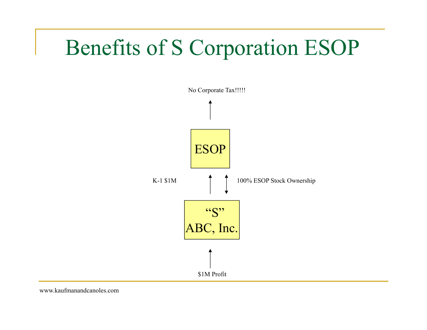### Benefits of S Corporation ESOP

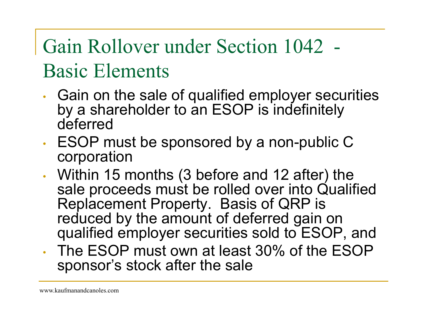# Gain Rollover under Section 1042 - Basic Elements

- • Gain on the sale of qualified employer securities by a shareholder to an ESOP is indefinitely deferred
- • ESOP must be sponsored by a non-public C corporation
- • Within 15 months (3 before and 12 after) the sale proceeds must be rolled over into Qualified Replacement Property. Basis of QRP is reduced by the amount of deferred gain on qualified employer securities sold to ESOP, and
- The ESOP must own at least 30% of the ESOP sponsor's stock after the sale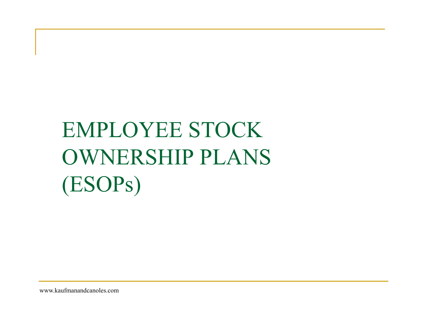# EMPLOYEE STOCK OWNERSHIP PLANS (ESOPs)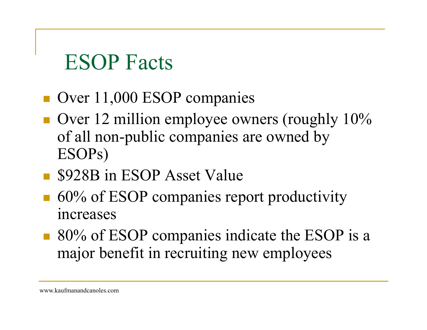### ESOP Facts

- Over 11,000 ESOP companies
- $\blacksquare$  Over 12 million employee owners (roughly 10% of all non-public companies are owned by ESOPs)
- **S** \$928B in ESOP Asset Value
- 60% of ESOP companies report productivity increases
- 80% of ESOP companies indicate the ESOP is a major benefit in recruiting new employees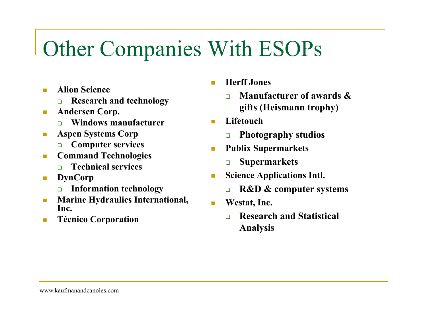# Other Companies With ESOPs

- $\overline{\phantom{a}}$  **Alion Science** 
	- $\Box$ **Research and technology**
- $\mathcal{C}_{\mathcal{A}}$  **Andersen Corp.**
	- $\Box$ **Windows manufacturer**
- $\mathcal{L}_{\mathcal{A}}$  **Aspen Systems Corp**
	- **Computer services**
- $\overline{\phantom{a}}$  **Command Technologies**
	- $\Box$ **Technical services**
- $\mathcal{L}_{\mathcal{A}}$  **DynCorp**
	- **Information technology**
- $\overline{\phantom{a}}$  **Marine Hydraulics International, Inc.**
- $\mathcal{L}_{\mathcal{A}}$ **Técnico Corporation**
- **Herff Jones**
	- $\Box$  **Manufacturer of awards & gifts (Heismann trophy)**
- $\mathcal{L}_{\mathcal{A}}$  **Lifetouch**
	- $\Box$ **Photography studios**
- $\mathbf{r}$  **Publix Supermarkets**
	- $\Box$ **Supermarkets**
- $\overline{\phantom{a}}$  **Science Applications Intl.**
	- $\Box$ **R&D & computer systems**
- $\mathcal{L}_{\mathcal{A}}$  **Westat, Inc.**
	- $\Box$  **Research and Statistical Analysis**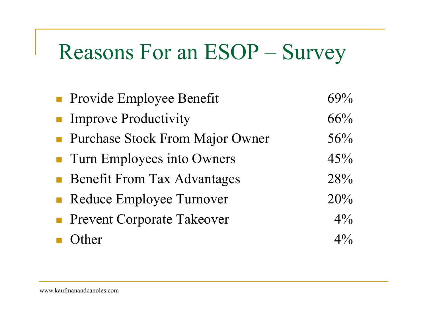### Reasons For an ESOP – Survey

| • Provide Employee Benefit         | 69%            |
|------------------------------------|----------------|
| <b>Improve Productivity</b>        | 66%            |
| • Purchase Stock From Major Owner  | 56%            |
| • Turn Employees into Owners       | 45%            |
| <b>Benefit From Tax Advantages</b> | 28%            |
| • Reduce Employee Turnover         | 20%            |
| <b>Prevent Corporate Takeover</b>  | $4\frac{0}{0}$ |
| Other                              | $4\%$          |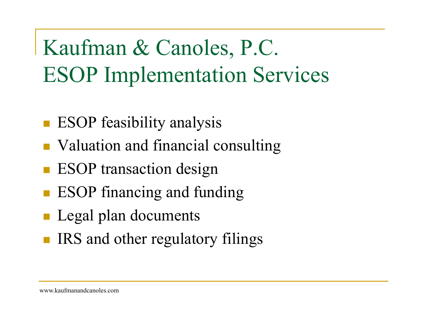Kaufman & Canoles, P.C. ESOP Implementation Services

- ESOP feasibility analysis
- **NA Valuation and financial consulting**
- $\mathcal{L}_{\mathcal{A}}$ ESOP transaction design
- ESOP financing and funding
- **Legal plan documents**
- **IRS** and other regulatory filings